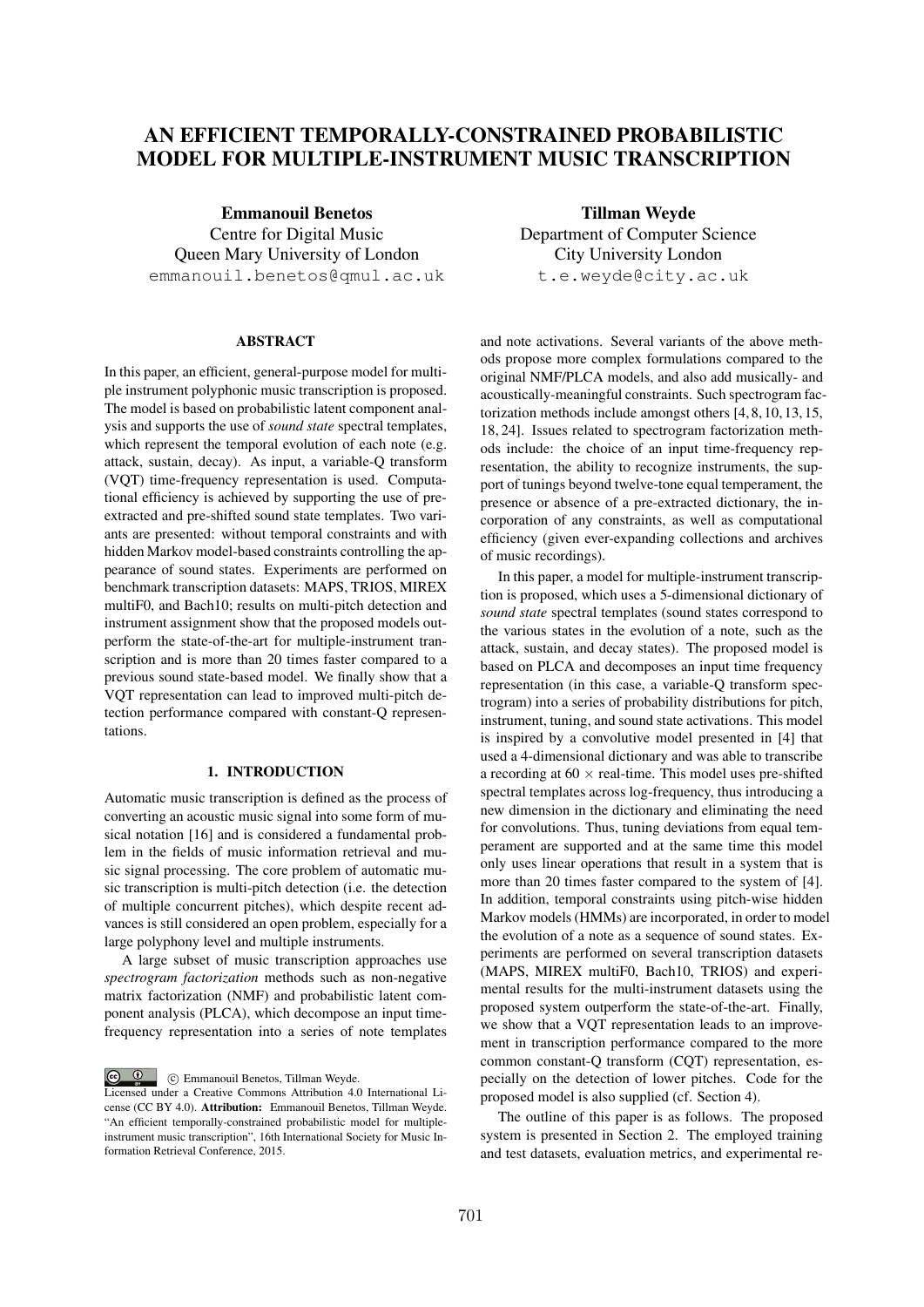# **AN EFFICIENT TEMPORALLY-CONSTRAINED PROBABILISTIC MODEL FOR MULTIPLE-INSTRUMENT MUSIC TRANSCRIPTION**

**Emmanouil Benetos** Centre for Digital Music Queen Mary University of London emmanouil.benetos@qmul.ac.uk

# **ABSTRACT**

In this paper, an efficient, general-purpose model for multiple instrument polyphonic music transcription is proposed. The model is based on probabilistic latent component analysis and supports the use of *sound state* spectral templates, which represent the temporal evolution of each note (e.g. attack, sustain, decay). As input, a variable-Q transform (VQT) time-frequency representation is used. Computational efficiency is achieved by supporting the use of preextracted and pre-shifted sound state templates. Two variants are presented: without temporal constraints and with hidden Markov model-based constraints controlling the appearance of sound states. Experiments are performed on benchmark transcription datasets: MAPS, TRIOS, MIREX multiF0, and Bach10; results on multi-pitch detection and instrument assignment show that the proposed models outperform the state-of-the-art for multiple-instrument transcription and is more than 20 times faster compared to a previous sound state-based model. We finally show that a VQT representation can lead to improved multi-pitch detection performance compared with constant-Q representations.

# **1. INTRODUCTION**

Automatic music transcription is defined as the process of converting an acoustic music signal into some form of musical notation [16] and is considered a fundamental problem in the fields of music information retrieval and music signal processing. The core problem of automatic music transcription is multi-pitch detection (i.e. the detection of multiple concurrent pitches), which despite recent advances is still considered an open problem, especially for a large polyphony level and multiple instruments.

A large subset of music transcription approaches use *spectrogram factorization* methods such as non-negative matrix factorization (NMF) and probabilistic latent component analysis (PLCA), which decompose an input timefrequency representation into a series of note templates

 $\circ$   $\circ$ c Emmanouil Benetos, Tillman Weyde.

**Tillman Weyde** Department of Computer Science City University London t.e.weyde@city.ac.uk

and note activations. Several variants of the above methods propose more complex formulations compared to the original NMF/PLCA models, and also add musically- and acoustically-meaningful constraints. Such spectrogram factorization methods include amongst others [4, 8, 10, 13, 15, 18, 24]. Issues related to spectrogram factorization methods include: the choice of an input time-frequency representation, the ability to recognize instruments, the support of tunings beyond twelve-tone equal temperament, the presence or absence of a pre-extracted dictionary, the incorporation of any constraints, as well as computational efficiency (given ever-expanding collections and archives of music recordings).

In this paper, a model for multiple-instrument transcription is proposed, which uses a 5-dimensional dictionary of *sound state* spectral templates (sound states correspond to the various states in the evolution of a note, such as the attack, sustain, and decay states). The proposed model is based on PLCA and decomposes an input time frequency representation (in this case, a variable-Q transform spectrogram) into a series of probability distributions for pitch, instrument, tuning, and sound state activations. This model is inspired by a convolutive model presented in [4] that used a 4-dimensional dictionary and was able to transcribe a recording at  $60 \times$  real-time. This model uses pre-shifted spectral templates across log-frequency, thus introducing a new dimension in the dictionary and eliminating the need for convolutions. Thus, tuning deviations from equal temperament are supported and at the same time this model only uses linear operations that result in a system that is more than 20 times faster compared to the system of [4]. In addition, temporal constraints using pitch-wise hidden Markov models (HMMs) are incorporated, in order to model the evolution of a note as a sequence of sound states. Experiments are performed on several transcription datasets (MAPS, MIREX multiF0, Bach10, TRIOS) and experimental results for the multi-instrument datasets using the proposed system outperform the state-of-the-art. Finally, we show that a VQT representation leads to an improvement in transcription performance compared to the more common constant-Q transform (CQT) representation, especially on the detection of lower pitches. Code for the proposed model is also supplied (cf. Section 4).

The outline of this paper is as follows. The proposed system is presented in Section 2. The employed training and test datasets, evaluation metrics, and experimental re-

Licensed under a Creative Commons Attribution 4.0 International License (CC BY 4.0). **Attribution:** Emmanouil Benetos, Tillman Weyde. "An efficient temporally-constrained probabilistic model for multipleinstrument music transcription", 16th International Society for Music Information Retrieval Conference, 2015.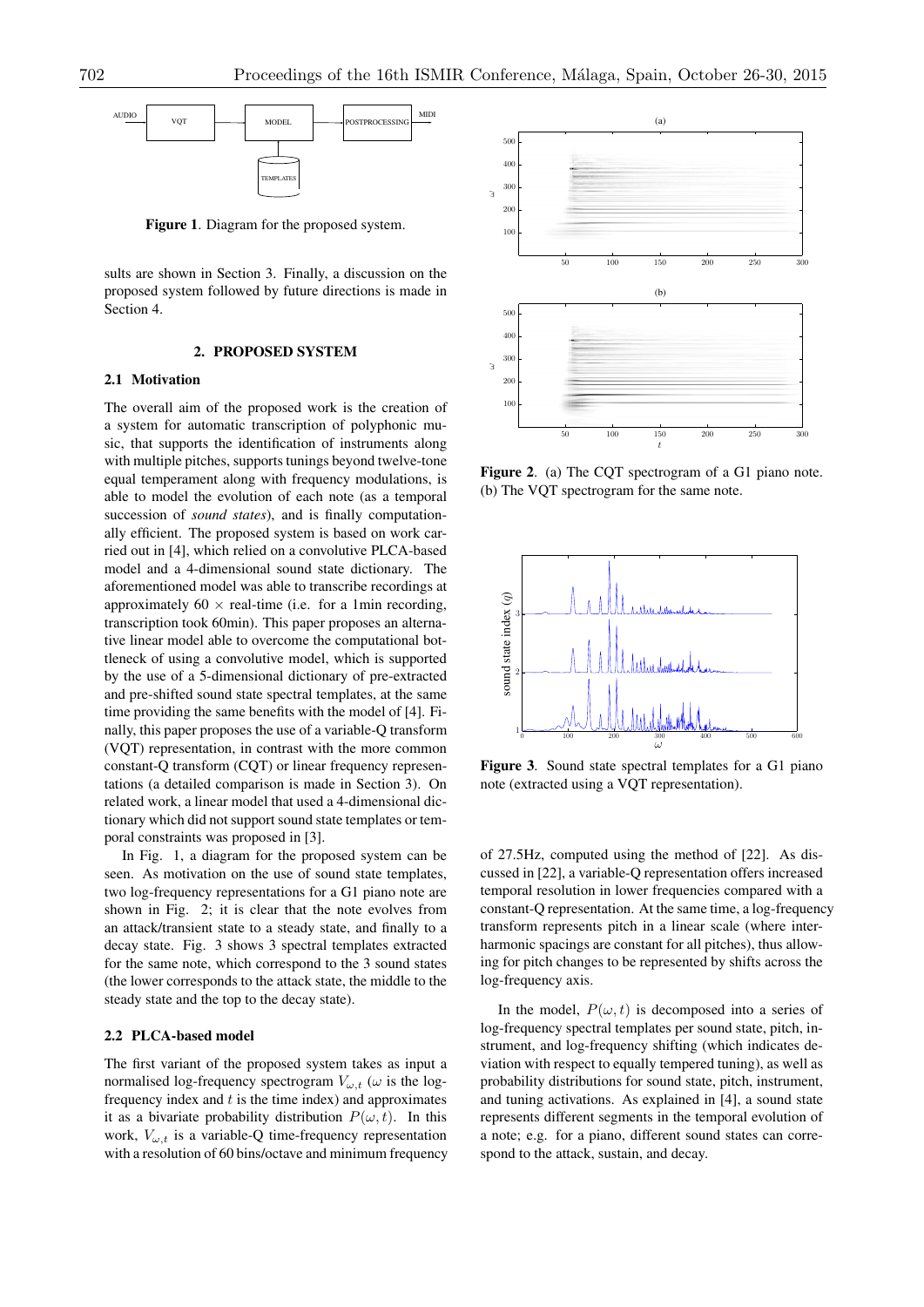

**Figure 1**. Diagram for the proposed system.

sults are shown in Section 3. Finally, a discussion on the proposed system followed by future directions is made in Section 4.

# **2. PROPOSED SYSTEM**

# **2.1 Motivation**

The overall aim of the proposed work is the creation of a system for automatic transcription of polyphonic music, that supports the identification of instruments along with multiple pitches, supports tunings beyond twelve-tone equal temperament along with frequency modulations, is able to model the evolution of each note (as a temporal succession of *sound states*), and is finally computationally efficient. The proposed system is based on work carried out in [4], which relied on a convolutive PLCA-based model and a 4-dimensional sound state dictionary. The aforementioned model was able to transcribe recordings at approximately  $60 \times$  real-time (i.e. for a 1min recording, transcription took 60min). This paper proposes an alternative linear model able to overcome the computational bottleneck of using a convolutive model, which is supported by the use of a 5-dimensional dictionary of pre-extracted and pre-shifted sound state spectral templates, at the same time providing the same benefits with the model of [4]. Finally, this paper proposes the use of a variable-Q transform (VQT) representation, in contrast with the more common constant-Q transform (CQT) or linear frequency representations (a detailed comparison is made in Section 3). On related work, a linear model that used a 4-dimensional dictionary which did not support sound state templates or temporal constraints was proposed in [3].

In Fig. 1, a diagram for the proposed system can be seen. As motivation on the use of sound state templates, two log-frequency representations for a G1 piano note are shown in Fig. 2; it is clear that the note evolves from an attack/transient state to a steady state, and finally to a decay state. Fig. 3 shows 3 spectral templates extracted for the same note, which correspond to the 3 sound states (the lower corresponds to the attack state, the middle to the steady state and the top to the decay state).

## **2.2 PLCA-based model**

The first variant of the proposed system takes as input a normalised log-frequency spectrogram  $V_{\omega,t}$  ( $\omega$  is the logfrequency index and *t* is the time index) and approximates it as a bivariate probability distribution  $P(\omega, t)$ . In this work,  $V_{\omega,t}$  is a variable-Q time-frequency representation with a resolution of 60 bins/octave and minimum frequency



**Figure 2**. (a) The CQT spectrogram of a G1 piano note. (b) The VQT spectrogram for the same note.



**Figure 3**. Sound state spectral templates for a G1 piano note (extracted using a VQT representation).

of 27.5Hz, computed using the method of [22]. As discussed in [22], a variable-Q representation offers increased temporal resolution in lower frequencies compared with a constant-Q representation. At the same time, a log-frequency transform represents pitch in a linear scale (where interharmonic spacings are constant for all pitches), thus allowing for pitch changes to be represented by shifts across the log-frequency axis.

In the model,  $P(\omega, t)$  is decomposed into a series of log-frequency spectral templates per sound state, pitch, instrument, and log-frequency shifting (which indicates deviation with respect to equally tempered tuning), as well as probability distributions for sound state, pitch, instrument, and tuning activations. As explained in [4], a sound state represents different segments in the temporal evolution of a note; e.g. for a piano, different sound states can correspond to the attack, sustain, and decay.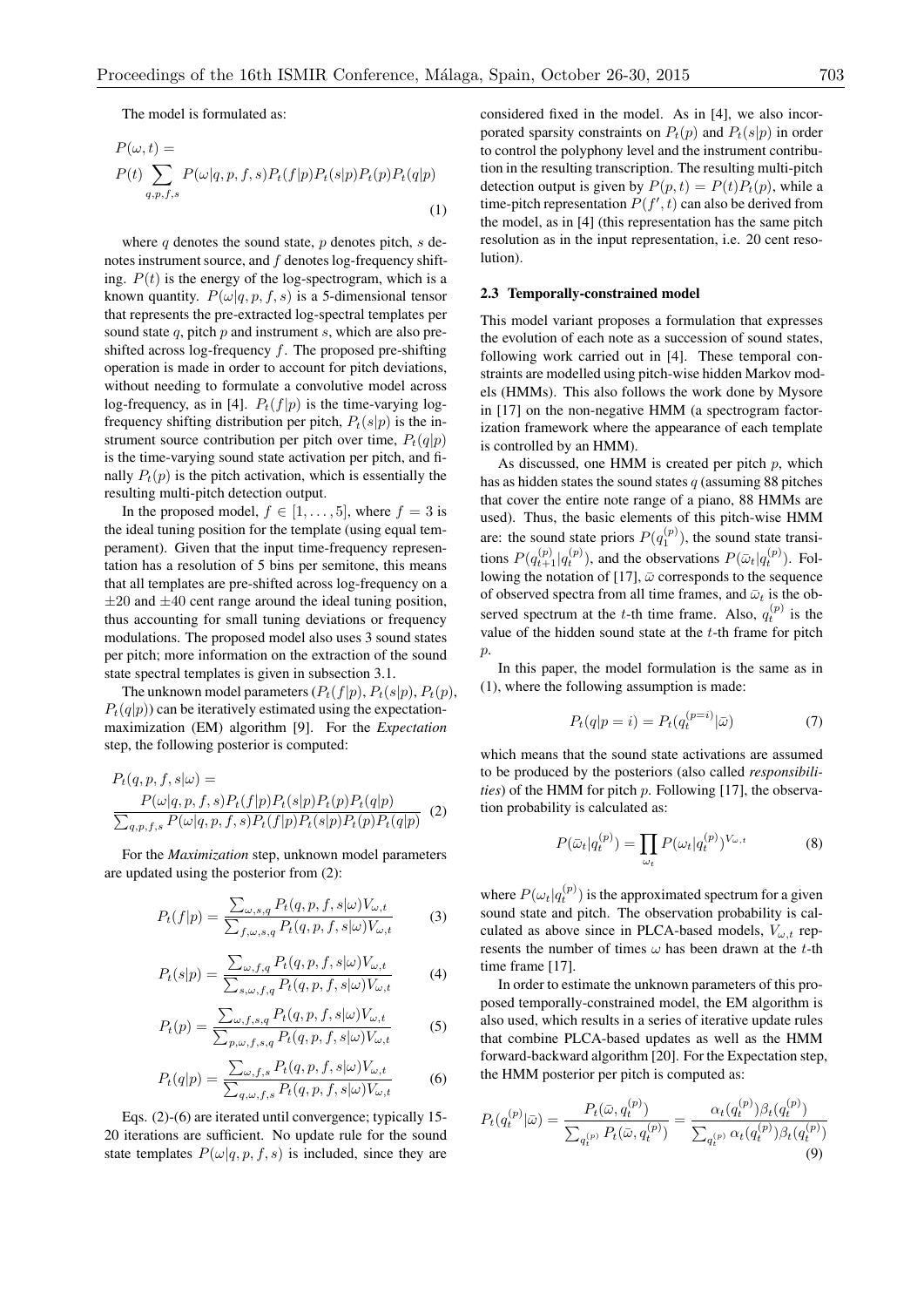The model is formulated as:

$$
P(\omega, t) =
$$
  
\n
$$
P(t) \sum_{q,p,f,s} P(\omega|q,p,f,s) P_t(f|p) P_t(s|p) P_t(p) P_t(q|p)
$$
  
\n(1)

where *q* denotes the sound state, *p* denotes pitch, *s* denotes instrument source, and *f* denotes log-frequency shifting.  $P(t)$  is the energy of the log-spectrogram, which is a known quantity.  $P(\omega|q, p, f, s)$  is a 5-dimensional tensor that represents the pre-extracted log-spectral templates per sound state *q*, pitch *p* and instrument *s*, which are also preshifted across log-frequency *f*. The proposed pre-shifting operation is made in order to account for pitch deviations, without needing to formulate a convolutive model across log-frequency, as in [4].  $P_t(f|p)$  is the time-varying logfrequency shifting distribution per pitch,  $P_t(s|p)$  is the instrument source contribution per pitch over time,  $P_t(q|p)$ is the time-varying sound state activation per pitch, and finally  $P_t(p)$  is the pitch activation, which is essentially the resulting multi-pitch detection output.

In the proposed model,  $f \in [1, \ldots, 5]$ , where  $f = 3$  is the ideal tuning position for the template (using equal temperament). Given that the input time-frequency representation has a resolution of 5 bins per semitone, this means that all templates are pre-shifted across log-frequency on a *±*20 and *±*40 cent range around the ideal tuning position, thus accounting for small tuning deviations or frequency modulations. The proposed model also uses 3 sound states per pitch; more information on the extraction of the sound state spectral templates is given in subsection 3.1.

The unknown model parameters  $(P_t(f|p), P_t(s|p), P_t(p))$ .  $P_t(q|p)$ ) can be iteratively estimated using the expectationmaximization (EM) algorithm [9]. For the *Expectation* step, the following posterior is computed:

$$
P_t(q, p, f, s | \omega) =
$$
  
\n
$$
P(\omega | q, p, f, s) P_t(f | p) P_t(s | p) P_t(p) P_t(q | p)
$$
  
\n
$$
\sum_{q, p, f, s} P(\omega | q, p, f, s) P_t(f | p) P_t(s | p) P_t(p) P_t(q | p)
$$
 (2)

For the *Maximization* step, unknown model parameters are updated using the posterior from (2):

$$
P_t(f|p) = \frac{\sum_{\omega,s,q} P_t(q,p,f,s|\omega)V_{\omega,t}}{\sum_{f,\omega,s,q} P_t(q,p,f,s|\omega)V_{\omega,t}}
$$
(3)

$$
P_t(s|p) = \frac{\sum_{\omega, f, q} P_t(q, p, f, s|\omega) V_{\omega, t}}{\sum_{s, \omega, f, q} P_t(q, p, f, s|\omega) V_{\omega, t}}
$$
(4)

$$
P_t(p) = \frac{\sum_{\omega, f, s, q} P_t(q, p, f, s | \omega) V_{\omega, t}}{\sum_{p, \omega, f, s, q} P_t(q, p, f, s | \omega) V_{\omega, t}}
$$
(5)

$$
P_t(q|p) = \frac{\sum_{\omega, f, s} P_t(q, p, f, s | \omega) V_{\omega, t}}{\sum_{q, \omega, f, s} P_t(q, p, f, s | \omega) V_{\omega, t}}
$$
(6)

Eqs. (2)-(6) are iterated until convergence; typically 15- 20 iterations are sufficient. No update rule for the sound state templates  $P(\omega|q, p, f, s)$  is included, since they are considered fixed in the model. As in [4], we also incorporated sparsity constraints on  $P_t(p)$  and  $P_t(s|p)$  in order to control the polyphony level and the instrument contribution in the resulting transcription. The resulting multi-pitch detection output is given by  $P(p, t) = P(t)P_t(p)$ , while a time-pitch representation  $P(f', t)$  can also be derived from the model, as in [4] (this representation has the same pitch resolution as in the input representation, i.e. 20 cent resolution).

## **2.3 Temporally-constrained model**

This model variant proposes a formulation that expresses the evolution of each note as a succession of sound states, following work carried out in [4]. These temporal constraints are modelled using pitch-wise hidden Markov models (HMMs). This also follows the work done by Mysore in [17] on the non-negative HMM (a spectrogram factorization framework where the appearance of each template is controlled by an HMM).

As discussed, one HMM is created per pitch *p*, which has as hidden states the sound states *q* (assuming 88 pitches that cover the entire note range of a piano, 88 HMMs are used). Thus, the basic elements of this pitch-wise HMM are: the sound state priors  $P(q_1^{(p)})$ , the sound state transitions  $P(q_{t+1}^{(p)} | q_t^{(p)})$ , and the observations  $P(\bar{\omega}_t | q_t^{(p)})$ . Following the notation of [17],  $\bar{\omega}$  corresponds to the sequence of observed spectra from all time frames, and  $\bar{\omega}_t$  is the observed spectrum at the *t*-th time frame. Also,  $q_t^{(p)}$  is the value of the hidden sound state at the *t*-th frame for pitch *p*.

In this paper, the model formulation is the same as in (1), where the following assumption is made:

$$
P_t(q|p=i) = P_t(q_t^{(p=i)}|\bar{\omega})\tag{7}
$$

which means that the sound state activations are assumed to be produced by the posteriors (also called *responsibilities*) of the HMM for pitch *p*. Following [17], the observation probability is calculated as:

$$
P(\bar{\omega}_t|q_t^{(p)}) = \prod_{\omega_t} P(\omega_t|q_t^{(p)})^{V_{\omega,t}}
$$
(8)

where  $P(\omega_t|q_t^{(p)})$  is the approximated spectrum for a given sound state and pitch. The observation probability is calculated as above since in PLCA-based models,  $V_{\omega,t}$  represents the number of times  $\omega$  has been drawn at the *t*-th time frame [17].

In order to estimate the unknown parameters of this proposed temporally-constrained model, the EM algorithm is also used, which results in a series of iterative update rules that combine PLCA-based updates as well as the HMM forward-backward algorithm [20]. For the Expectation step, the HMM posterior per pitch is computed as:

$$
P_t(q_t^{(p)}|\bar{\omega}) = \frac{P_t(\bar{\omega}, q_t^{(p)})}{\sum_{q_t^{(p)}} P_t(\bar{\omega}, q_t^{(p)})} = \frac{\alpha_t(q_t^{(p)})\beta_t(q_t^{(p)})}{\sum_{q_t^{(p)}} \alpha_t(q_t^{(p)})\beta_t(q_t^{(p)})}
$$
(9)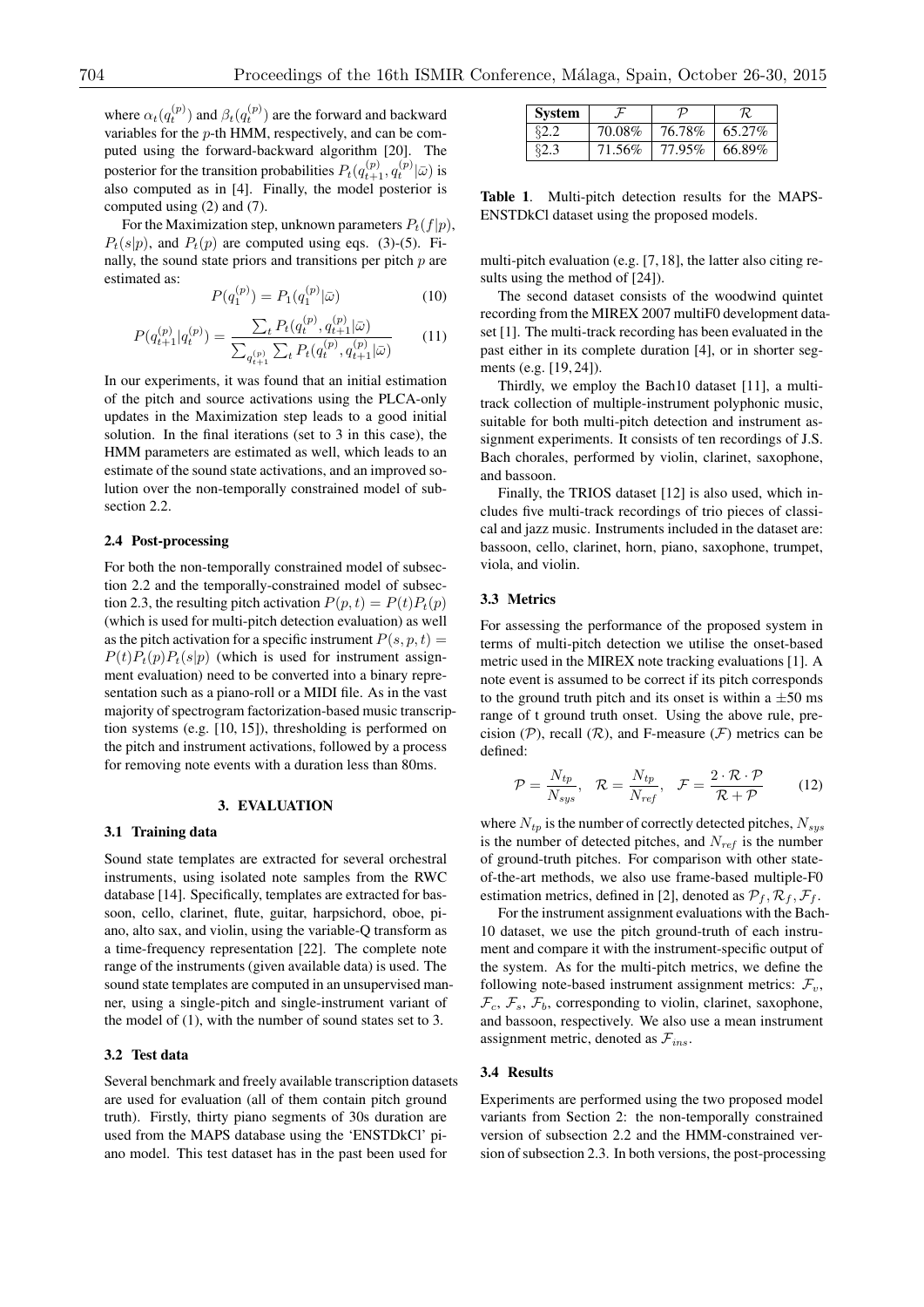where  $\alpha_t(q_t^{(p)})$  and  $\beta_t(q_t^{(p)})$  are the forward and backward variables for the *p*-th HMM, respectively, and can be computed using the forward-backward algorithm [20]. The posterior for the transition probabilities  $P_t(q_{t+1}^{(p)}, q_t^{(p)} | \bar{\omega})$  is also computed as in [4]. Finally, the model posterior is computed using (2) and (7).

For the Maximization step, unknown parameters  $P_t(f|p)$ ,  $P_t(s|p)$ , and  $P_t(p)$  are computed using eqs. (3)-(5). Finally, the sound state priors and transitions per pitch *p* are estimated as:

$$
P(q_1^{(p)}) = P_1(q_1^{(p)}|\bar{\omega})
$$
 (10)

$$
P(q_{t+1}^{(p)}|q_t^{(p)}) = \frac{\sum_t P_t(q_t^{(p)}, q_{t+1}^{(p)}|\bar{\omega})}{\sum_{q_{t+1}^{(p)}} \sum_t P_t(q_t^{(p)}, q_{t+1}^{(p)}|\bar{\omega})}
$$
(11)

In our experiments, it was found that an initial estimation of the pitch and source activations using the PLCA-only updates in the Maximization step leads to a good initial solution. In the final iterations (set to 3 in this case), the HMM parameters are estimated as well, which leads to an estimate of the sound state activations, and an improved solution over the non-temporally constrained model of subsection 2.2.

# **2.4 Post-processing**

For both the non-temporally constrained model of subsection 2.2 and the temporally-constrained model of subsection 2.3, the resulting pitch activation  $P(p, t) = P(t)P_t(p)$ (which is used for multi-pitch detection evaluation) as well as the pitch activation for a specific instrument  $P(s, p, t) =$  $P(t)P_t(p)P_t(s|p)$  (which is used for instrument assignment evaluation) need to be converted into a binary representation such as a piano-roll or a MIDI file. As in the vast majority of spectrogram factorization-based music transcription systems (e.g. [10, 15]), thresholding is performed on the pitch and instrument activations, followed by a process for removing note events with a duration less than 80ms.

## **3. EVALUATION**

## **3.1 Training data**

Sound state templates are extracted for several orchestral instruments, using isolated note samples from the RWC database [14]. Specifically, templates are extracted for bassoon, cello, clarinet, flute, guitar, harpsichord, oboe, piano, alto sax, and violin, using the variable-Q transform as a time-frequency representation [22]. The complete note range of the instruments (given available data) is used. The sound state templates are computed in an unsupervised manner, using a single-pitch and single-instrument variant of the model of (1), with the number of sound states set to 3.

# **3.2 Test data**

Several benchmark and freely available transcription datasets are used for evaluation (all of them contain pitch ground truth). Firstly, thirty piano segments of 30s duration are used from the MAPS database using the 'ENSTDkCl' piano model. This test dataset has in the past been used for

| <b>System</b> |        | D      |        |  |
|---------------|--------|--------|--------|--|
| 82 Z          | 70.08% | 76.78% | 65.27% |  |
| 82 Z          | 71.56% | 77.95% | 66.89% |  |

**Table 1**. Multi-pitch detection results for the MAPS-ENSTDkCl dataset using the proposed models.

multi-pitch evaluation (e.g. [7, 18], the latter also citing results using the method of [24]).

The second dataset consists of the woodwind quintet recording from the MIREX 2007 multiF0 development dataset [1]. The multi-track recording has been evaluated in the past either in its complete duration [4], or in shorter segments (e.g. [19, 24]).

Thirdly, we employ the Bach10 dataset [11], a multitrack collection of multiple-instrument polyphonic music, suitable for both multi-pitch detection and instrument assignment experiments. It consists of ten recordings of J.S. Bach chorales, performed by violin, clarinet, saxophone, and bassoon.

Finally, the TRIOS dataset [12] is also used, which includes five multi-track recordings of trio pieces of classical and jazz music. Instruments included in the dataset are: bassoon, cello, clarinet, horn, piano, saxophone, trumpet, viola, and violin.

#### **3.3 Metrics**

For assessing the performance of the proposed system in terms of multi-pitch detection we utilise the onset-based metric used in the MIREX note tracking evaluations [1]. A note event is assumed to be correct if its pitch corresponds to the ground truth pitch and its onset is within a *±*50 ms range of t ground truth onset. Using the above rule, precision  $(P)$ , recall  $(R)$ , and F-measure  $(F)$  metrics can be defined:

$$
\mathcal{P} = \frac{N_{tp}}{N_{sys}}, \quad \mathcal{R} = \frac{N_{tp}}{N_{ref}}, \quad \mathcal{F} = \frac{2 \cdot \mathcal{R} \cdot \mathcal{P}}{\mathcal{R} + \mathcal{P}} \tag{12}
$$

where *Ntp* is the number of correctly detected pitches, *Nsys* is the number of detected pitches, and *Nref* is the number of ground-truth pitches. For comparison with other stateof-the-art methods, we also use frame-based multiple-F0 estimation metrics, defined in [2], denoted as  $\mathcal{P}_f$ ,  $\mathcal{R}_f$ ,  $\mathcal{F}_f$ .

For the instrument assignment evaluations with the Bach-10 dataset, we use the pitch ground-truth of each instrument and compare it with the instrument-specific output of the system. As for the multi-pitch metrics, we define the following note-based instrument assignment metrics:  $\mathcal{F}_v$ ,  $\mathcal{F}_c$ ,  $\mathcal{F}_s$ ,  $\mathcal{F}_b$ , corresponding to violin, clarinet, saxophone, and bassoon, respectively. We also use a mean instrument assignment metric, denoted as *Fins* .

#### **3.4 Results**

Experiments are performed using the two proposed model variants from Section 2: the non-temporally constrained version of subsection 2.2 and the HMM-constrained version of subsection 2.3. In both versions, the post-processing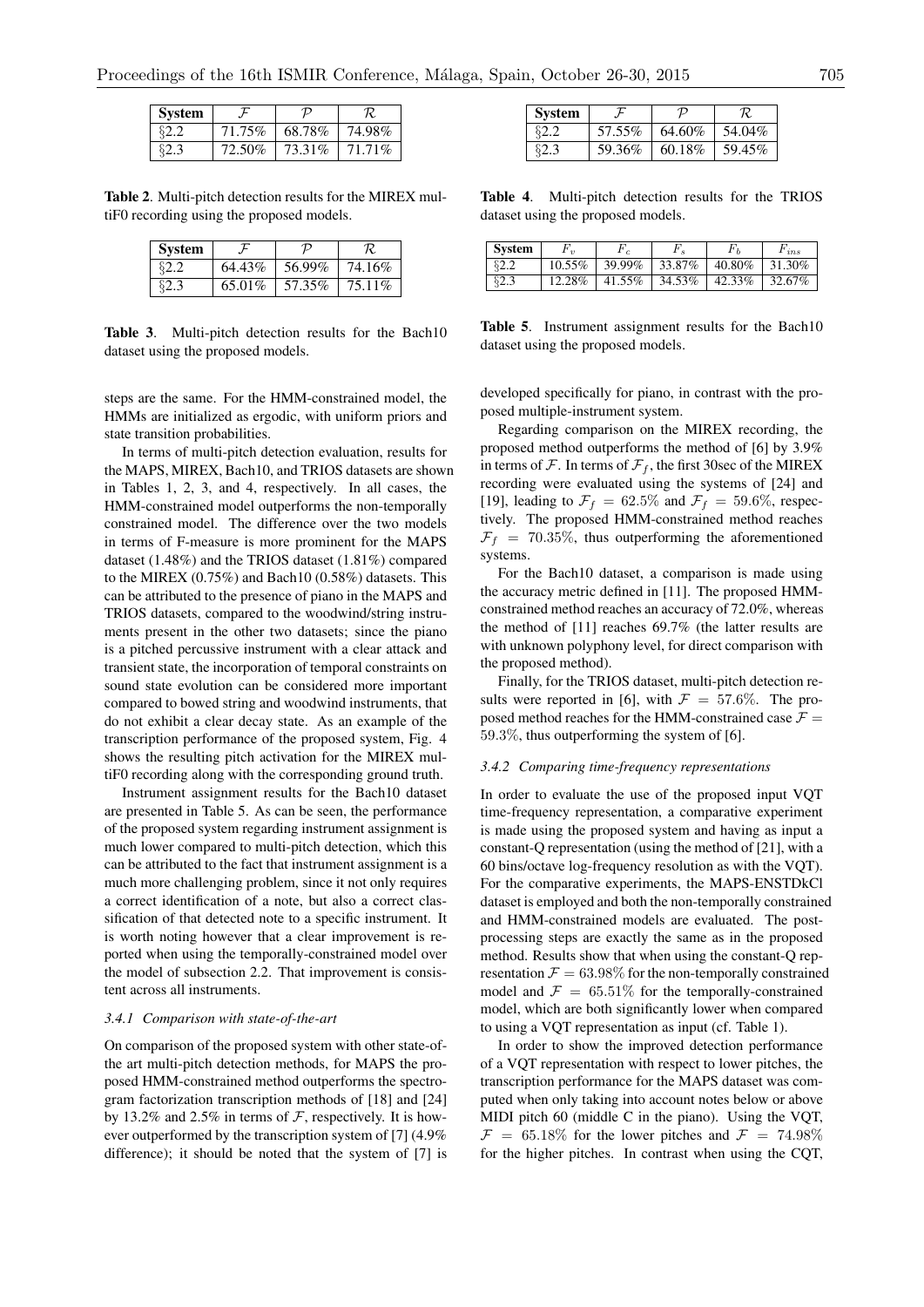| System |        |        |           |  |
|--------|--------|--------|-----------|--|
| ደግ ግ   | 71.75% | 68.78% | 74.98%    |  |
| ຂາ ຊ   | 72.50% | 73.31% | $71.71\%$ |  |

**Table 2**. Multi-pitch detection results for the MIREX multiF0 recording using the proposed models.

| <b>System</b> |        |        |        |  |
|---------------|--------|--------|--------|--|
| 82 Z          | 64.43% | 56.99% | 74.16% |  |
| ድን 2          | 65.01% | 57.35% | 75.11% |  |

**Table 3**. Multi-pitch detection results for the Bach10 dataset using the proposed models.

steps are the same. For the HMM-constrained model, the HMMs are initialized as ergodic, with uniform priors and state transition probabilities.

In terms of multi-pitch detection evaluation, results for the MAPS, MIREX, Bach10, and TRIOS datasets are shown in Tables 1, 2, 3, and 4, respectively. In all cases, the HMM-constrained model outperforms the non-temporally constrained model. The difference over the two models in terms of F-measure is more prominent for the MAPS dataset (1.48%) and the TRIOS dataset (1.81%) compared to the MIREX (0.75%) and Bach10 (0.58%) datasets. This can be attributed to the presence of piano in the MAPS and TRIOS datasets, compared to the woodwind/string instruments present in the other two datasets; since the piano is a pitched percussive instrument with a clear attack and transient state, the incorporation of temporal constraints on sound state evolution can be considered more important compared to bowed string and woodwind instruments, that do not exhibit a clear decay state. As an example of the transcription performance of the proposed system, Fig. 4 shows the resulting pitch activation for the MIREX multiF0 recording along with the corresponding ground truth.

Instrument assignment results for the Bach10 dataset are presented in Table 5. As can be seen, the performance of the proposed system regarding instrument assignment is much lower compared to multi-pitch detection, which this can be attributed to the fact that instrument assignment is a much more challenging problem, since it not only requires a correct identification of a note, but also a correct classification of that detected note to a specific instrument. It is worth noting however that a clear improvement is reported when using the temporally-constrained model over the model of subsection 2.2. That improvement is consistent across all instruments.

#### *3.4.1 Comparison with state-of-the-art*

On comparison of the proposed system with other state-ofthe art multi-pitch detection methods, for MAPS the proposed HMM-constrained method outperforms the spectrogram factorization transcription methods of [18] and [24] by 13.2% and 2.5% in terms of *F*, respectively. It is however outperformed by the transcription system of [7] (4.9% difference); it should be noted that the system of [7] is

| <b>System</b> |        | נ ו    |        |  |
|---------------|--------|--------|--------|--|
| 82.2          | 57.55% | 64.60% | 54.04% |  |
| 82.3          | 59.36% | 60.18% | 59.45% |  |

**Table 4**. Multi-pitch detection results for the TRIOS dataset using the proposed models.

| <b>System</b> | $1'$ 11   | $\epsilon$ |        |        | $F_{ins}$ |
|---------------|-----------|------------|--------|--------|-----------|
| \$2.2         | $10.55\%$ | 39.99%     | 33.87% | 40.80% | 31.30%    |
| 82.3          | 12.28%    | 41.55%     | 34.53% | 42.33% | 32.67%    |

**Table 5**. Instrument assignment results for the Bach10 dataset using the proposed models.

developed specifically for piano, in contrast with the proposed multiple-instrument system.

Regarding comparison on the MIREX recording, the proposed method outperforms the method of [6] by 3.9% in terms of  $\mathcal F$ . In terms of  $\mathcal F_f$ , the first 30sec of the MIREX recording were evaluated using the systems of [24] and [19], leading to  $\mathcal{F}_f = 62.5\%$  and  $\mathcal{F}_f = 59.6\%$ , respectively. The proposed HMM-constrained method reaches  $\mathcal{F}_f$  = 70.35%, thus outperforming the aforementioned systems.

For the Bach10 dataset, a comparison is made using the accuracy metric defined in [11]. The proposed HMMconstrained method reaches an accuracy of 72.0%, whereas the method of [11] reaches 69.7% (the latter results are with unknown polyphony level, for direct comparison with the proposed method).

Finally, for the TRIOS dataset, multi-pitch detection results were reported in [6], with  $\mathcal{F} = 57.6\%$ . The proposed method reaches for the HMM-constrained case  $\mathcal{F} =$ 59*.*3%, thus outperforming the system of [6].

#### *3.4.2 Comparing time-frequency representations*

In order to evaluate the use of the proposed input VQT time-frequency representation, a comparative experiment is made using the proposed system and having as input a constant-Q representation (using the method of [21], with a 60 bins/octave log-frequency resolution as with the VQT). For the comparative experiments, the MAPS-ENSTDkCl dataset is employed and both the non-temporally constrained and HMM-constrained models are evaluated. The postprocessing steps are exactly the same as in the proposed method. Results show that when using the constant-Q representation  $\mathcal{F} = 63.98\%$  for the non-temporally constrained model and  $\mathcal{F} = 65.51\%$  for the temporally-constrained model, which are both significantly lower when compared to using a VQT representation as input (cf. Table 1).

In order to show the improved detection performance of a VQT representation with respect to lower pitches, the transcription performance for the MAPS dataset was computed when only taking into account notes below or above MIDI pitch 60 (middle C in the piano). Using the VQT,  $\mathcal{F} = 65.18\%$  for the lower pitches and  $\mathcal{F} = 74.98\%$ for the higher pitches. In contrast when using the CQT,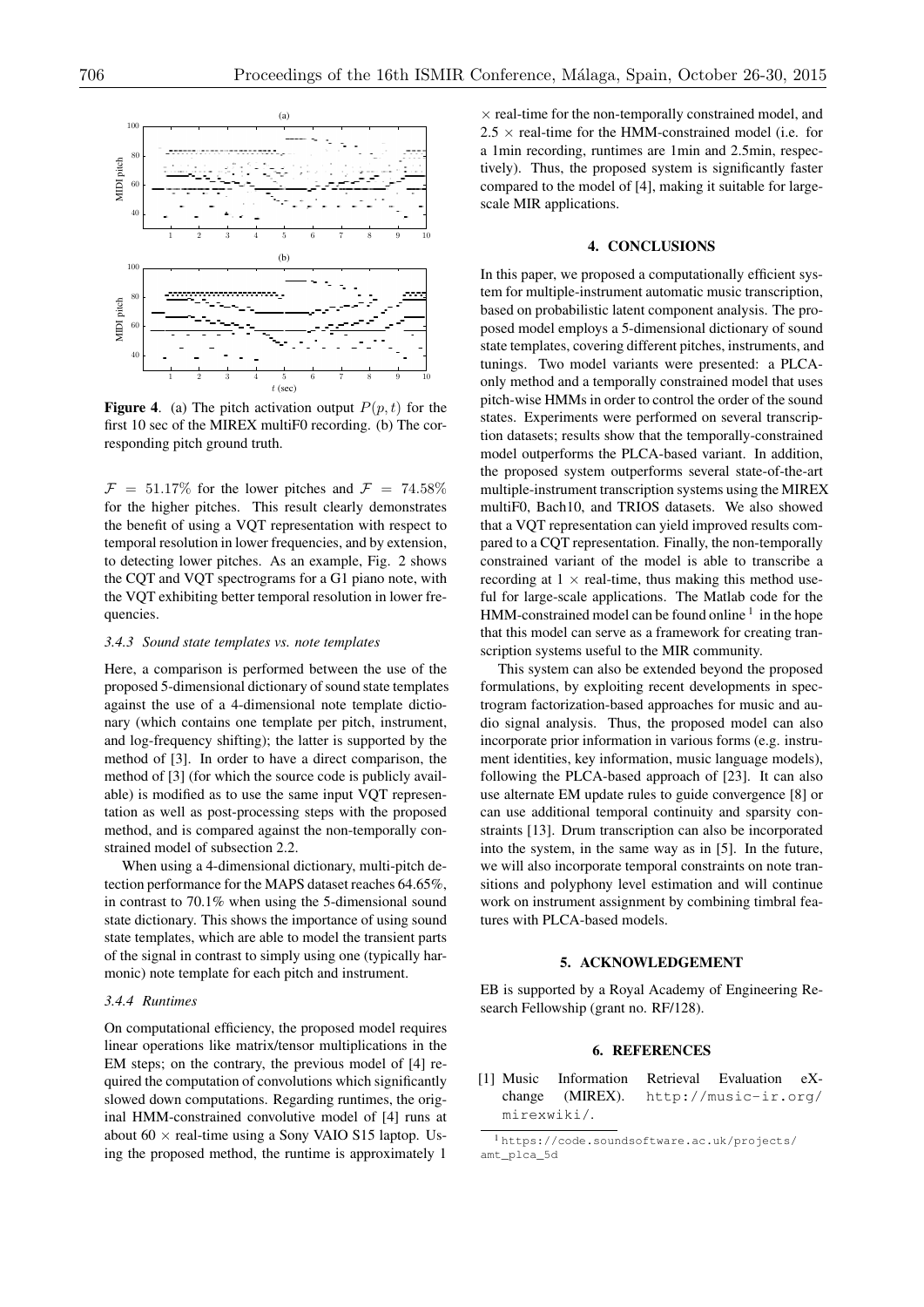

**Figure 4.** (a) The pitch activation output  $P(p, t)$  for the first 10 sec of the MIREX multiF0 recording. (b) The corresponding pitch ground truth.

 $\mathcal{F} = 51.17\%$  for the lower pitches and  $\mathcal{F} = 74.58\%$ for the higher pitches. This result clearly demonstrates the benefit of using a VQT representation with respect to temporal resolution in lower frequencies, and by extension, to detecting lower pitches. As an example, Fig. 2 shows the CQT and VQT spectrograms for a G1 piano note, with the VQT exhibiting better temporal resolution in lower frequencies.

#### *3.4.3 Sound state templates vs. note templates*

Here, a comparison is performed between the use of the proposed 5-dimensional dictionary of sound state templates against the use of a 4-dimensional note template dictionary (which contains one template per pitch, instrument, and log-frequency shifting); the latter is supported by the method of [3]. In order to have a direct comparison, the method of [3] (for which the source code is publicly available) is modified as to use the same input VQT representation as well as post-processing steps with the proposed method, and is compared against the non-temporally constrained model of subsection 2.2.

When using a 4-dimensional dictionary, multi-pitch detection performance for the MAPS dataset reaches 64.65%, in contrast to 70.1% when using the 5-dimensional sound state dictionary. This shows the importance of using sound state templates, which are able to model the transient parts of the signal in contrast to simply using one (typically harmonic) note template for each pitch and instrument.

#### *3.4.4 Runtimes*

On computational efficiency, the proposed model requires linear operations like matrix/tensor multiplications in the EM steps; on the contrary, the previous model of [4] required the computation of convolutions which significantly slowed down computations. Regarding runtimes, the original HMM-constrained convolutive model of [4] runs at about  $60 \times$  real-time using a Sony VAIO S15 laptop. Using the proposed method, the runtime is approximately 1

 $\times$  real-time for the non-temporally constrained model, and  $2.5 \times$  real-time for the HMM-constrained model (i.e. for a 1min recording, runtimes are 1min and 2.5min, respectively). Thus, the proposed system is significantly faster compared to the model of [4], making it suitable for largescale MIR applications.

# **4. CONCLUSIONS**

In this paper, we proposed a computationally efficient system for multiple-instrument automatic music transcription, based on probabilistic latent component analysis. The proposed model employs a 5-dimensional dictionary of sound state templates, covering different pitches, instruments, and tunings. Two model variants were presented: a PLCAonly method and a temporally constrained model that uses pitch-wise HMMs in order to control the order of the sound states. Experiments were performed on several transcription datasets; results show that the temporally-constrained model outperforms the PLCA-based variant. In addition, the proposed system outperforms several state-of-the-art multiple-instrument transcription systems using the MIREX multiF0, Bach10, and TRIOS datasets. We also showed that a VQT representation can yield improved results compared to a CQT representation. Finally, the non-temporally constrained variant of the model is able to transcribe a recording at  $1 \times$  real-time, thus making this method useful for large-scale applications. The Matlab code for the HMM-constrained model can be found online  $<sup>1</sup>$  in the hope</sup> that this model can serve as a framework for creating transcription systems useful to the MIR community.

This system can also be extended beyond the proposed formulations, by exploiting recent developments in spectrogram factorization-based approaches for music and audio signal analysis. Thus, the proposed model can also incorporate prior information in various forms (e.g. instrument identities, key information, music language models), following the PLCA-based approach of [23]. It can also use alternate EM update rules to guide convergence [8] or can use additional temporal continuity and sparsity constraints [13]. Drum transcription can also be incorporated into the system, in the same way as in [5]. In the future, we will also incorporate temporal constraints on note transitions and polyphony level estimation and will continue work on instrument assignment by combining timbral features with PLCA-based models.

#### **5. ACKNOWLEDGEMENT**

EB is supported by a Royal Academy of Engineering Research Fellowship (grant no. RF/128).

## **6. REFERENCES**

[1] Music Information Retrieval Evaluation eXchange (MIREX). http://music-ir.org/ mirexwiki/.

<sup>1</sup> https://code.soundsoftware.ac.uk/projects/ amt\_plca\_5d